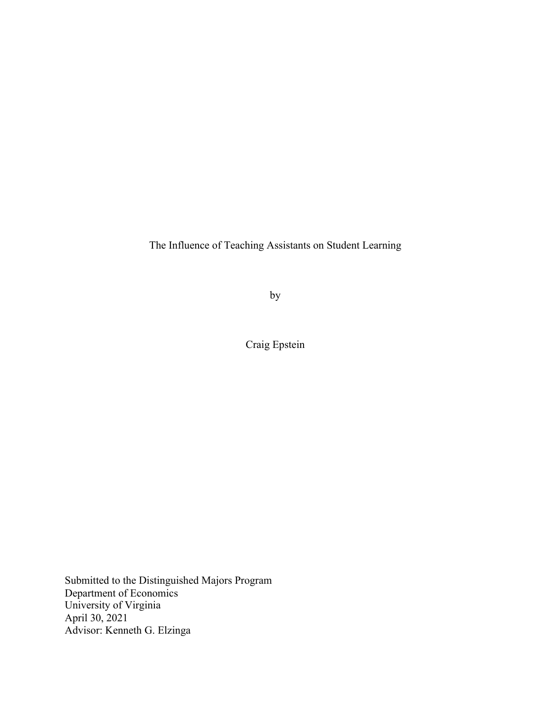The Influence of Teaching Assistants on Student Learning

by

Craig Epstein

Submitted to the Distinguished Majors Program Department of Economics University of Virginia April 30, 2021 Advisor: Kenneth G. Elzinga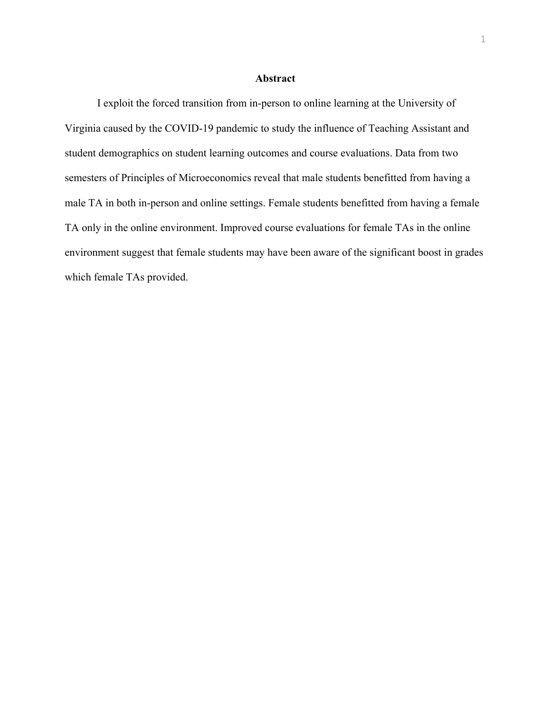#### **Abstract**

I exploit the forced transition from in-person to online learning at the University of Virginia caused by the COVID-19 pandemic to study the influence of Teaching Assistant and student demographics on student learning outcomes and course evaluations. Data from two semesters of Principles of Microeconomics reveal that male students benefitted from having a male TA in both in-person and online settings. Female students benefitted from having a female TA only in the online environment. Improved course evaluations for female TAs in the online environment suggest that female students may have been aware of the significant boost in grades which female TAs provided.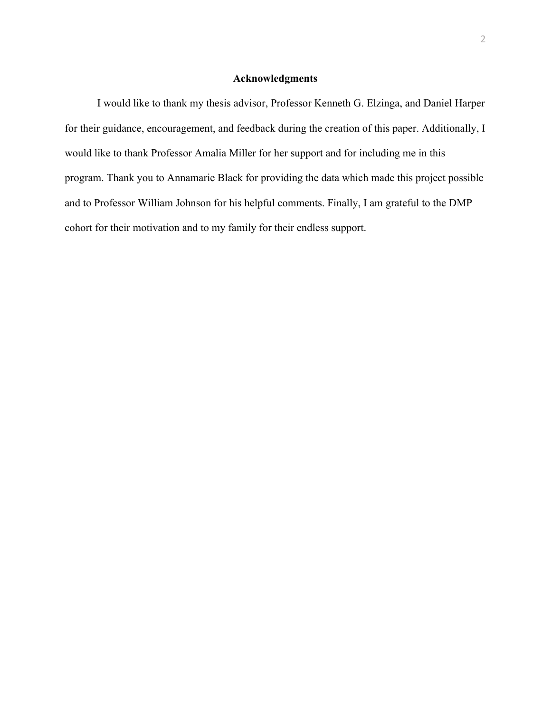#### **Acknowledgments**

I would like to thank my thesis advisor, Professor Kenneth G. Elzinga, and Daniel Harper for their guidance, encouragement, and feedback during the creation of this paper. Additionally, I would like to thank Professor Amalia Miller for her support and for including me in this program. Thank you to Annamarie Black for providing the data which made this project possible and to Professor William Johnson for his helpful comments. Finally, I am grateful to the DMP cohort for their motivation and to my family for their endless support.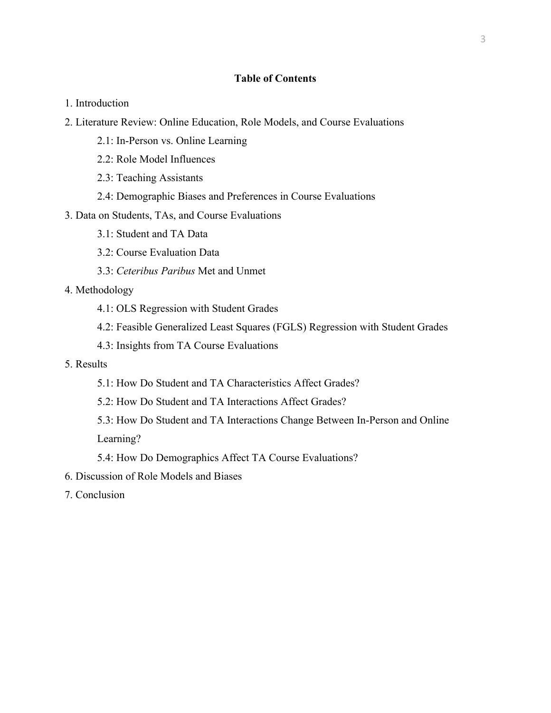### **Table of Contents**

- 1. Introduction
- 2. Literature Review: Online Education, Role Models, and Course Evaluations
	- 2.1: In-Person vs. Online Learning
	- 2.2: Role Model Influences
	- 2.3: Teaching Assistants
	- 2.4: Demographic Biases and Preferences in Course Evaluations
- 3. Data on Students, TAs, and Course Evaluations
	- 3.1: Student and TA Data
	- 3.2: Course Evaluation Data
	- 3.3: *Ceteribus Paribus* Met and Unmet
- 4. Methodology
	- 4.1: OLS Regression with Student Grades
	- 4.2: Feasible Generalized Least Squares (FGLS) Regression with Student Grades
	- 4.3: Insights from TA Course Evaluations
- 5. Results
	- 5.1: How Do Student and TA Characteristics Affect Grades?
	- 5.2: How Do Student and TA Interactions Affect Grades?
	- 5.3: How Do Student and TA Interactions Change Between In-Person and Online Learning?
	- 5.4: How Do Demographics Affect TA Course Evaluations?
- 6. Discussion of Role Models and Biases
- 7. Conclusion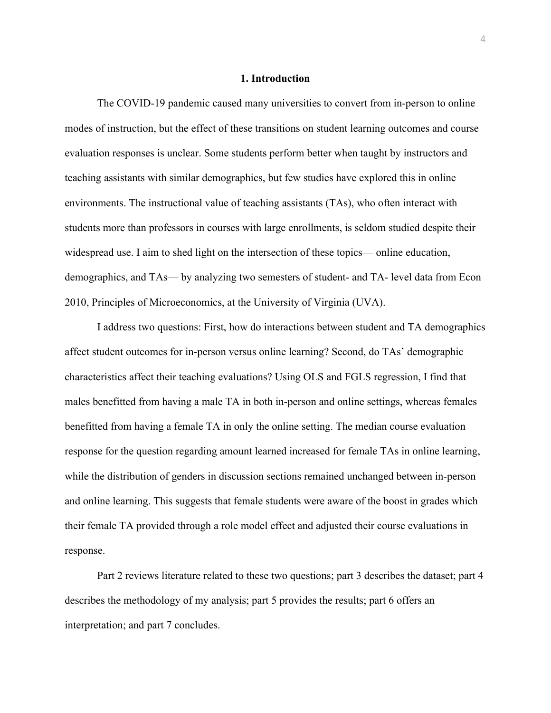#### **1. Introduction**

The COVID-19 pandemic caused many universities to convert from in-person to online modes of instruction, but the effect of these transitions on student learning outcomes and course evaluation responses is unclear. Some students perform better when taught by instructors and teaching assistants with similar demographics, but few studies have explored this in online environments. The instructional value of teaching assistants (TAs), who often interact with students more than professors in courses with large enrollments, is seldom studied despite their widespread use. I aim to shed light on the intersection of these topics— online education, demographics, and TAs— by analyzing two semesters of student- and TA- level data from Econ 2010, Principles of Microeconomics, at the University of Virginia (UVA).

I address two questions: First, how do interactions between student and TA demographics affect student outcomes for in-person versus online learning? Second, do TAs' demographic characteristics affect their teaching evaluations? Using OLS and FGLS regression, I find that males benefitted from having a male TA in both in-person and online settings, whereas females benefitted from having a female TA in only the online setting. The median course evaluation response for the question regarding amount learned increased for female TAs in online learning, while the distribution of genders in discussion sections remained unchanged between in-person and online learning. This suggests that female students were aware of the boost in grades which their female TA provided through a role model effect and adjusted their course evaluations in response.

Part 2 reviews literature related to these two questions; part 3 describes the dataset; part 4 describes the methodology of my analysis; part 5 provides the results; part 6 offers an interpretation; and part 7 concludes.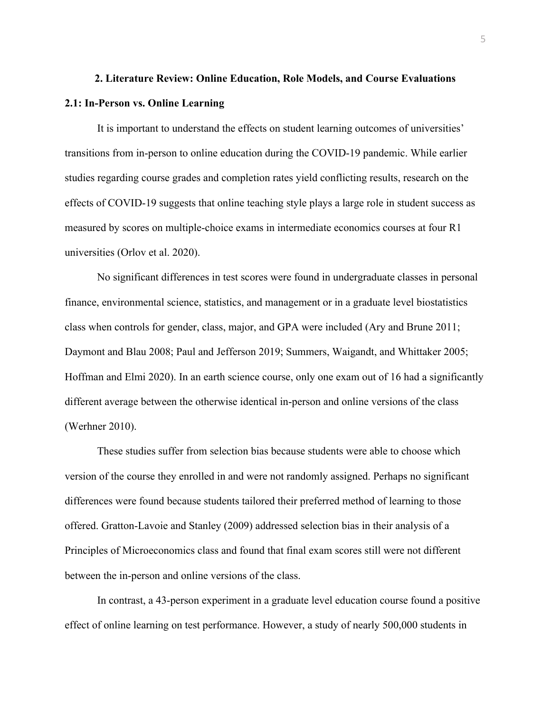## **2. Literature Review: Online Education, Role Models, and Course Evaluations 2.1: In-Person vs. Online Learning**

It is important to understand the effects on student learning outcomes of universities' transitions from in-person to online education during the COVID-19 pandemic. While earlier studies regarding course grades and completion rates yield conflicting results, research on the effects of COVID-19 suggests that online teaching style plays a large role in student success as measured by scores on multiple-choice exams in intermediate economics courses at four R1 universities (Orlov et al. 2020).

No significant differences in test scores were found in undergraduate classes in personal finance, environmental science, statistics, and management or in a graduate level biostatistics class when controls for gender, class, major, and GPA were included (Ary and Brune 2011; Daymont and Blau 2008; Paul and Jefferson 2019; Summers, Waigandt, and Whittaker 2005; Hoffman and Elmi 2020). In an earth science course, only one exam out of 16 had a significantly different average between the otherwise identical in-person and online versions of the class (Werhner 2010).

These studies suffer from selection bias because students were able to choose which version of the course they enrolled in and were not randomly assigned. Perhaps no significant differences were found because students tailored their preferred method of learning to those offered. Gratton-Lavoie and Stanley (2009) addressed selection bias in their analysis of a Principles of Microeconomics class and found that final exam scores still were not different between the in-person and online versions of the class.

In contrast, a 43-person experiment in a graduate level education course found a positive effect of online learning on test performance. However, a study of nearly 500,000 students in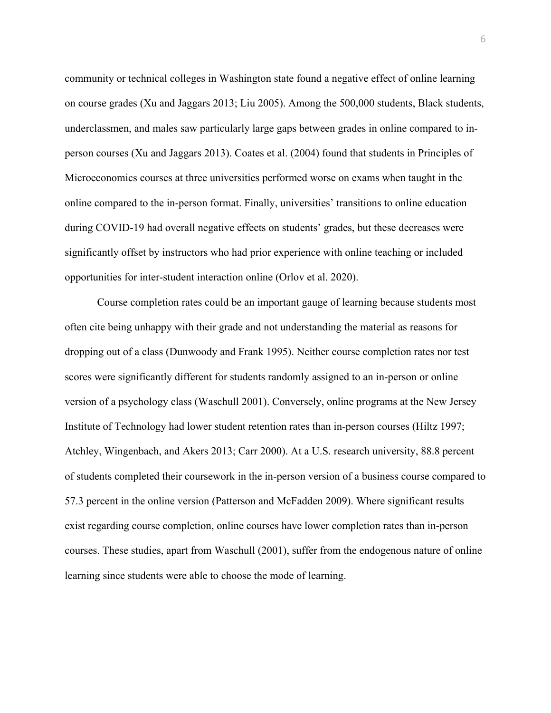community or technical colleges in Washington state found a negative effect of online learning on course grades (Xu and Jaggars 2013; Liu 2005). Among the 500,000 students, Black students, underclassmen, and males saw particularly large gaps between grades in online compared to inperson courses (Xu and Jaggars 2013). Coates et al. (2004) found that students in Principles of Microeconomics courses at three universities performed worse on exams when taught in the online compared to the in-person format. Finally, universities' transitions to online education during COVID-19 had overall negative effects on students' grades, but these decreases were significantly offset by instructors who had prior experience with online teaching or included opportunities for inter-student interaction online (Orlov et al. 2020).

Course completion rates could be an important gauge of learning because students most often cite being unhappy with their grade and not understanding the material as reasons for dropping out of a class (Dunwoody and Frank 1995). Neither course completion rates nor test scores were significantly different for students randomly assigned to an in-person or online version of a psychology class (Waschull 2001). Conversely, online programs at the New Jersey Institute of Technology had lower student retention rates than in-person courses (Hiltz 1997; Atchley, Wingenbach, and Akers 2013; Carr 2000). At a U.S. research university, 88.8 percent of students completed their coursework in the in-person version of a business course compared to 57.3 percent in the online version (Patterson and McFadden 2009). Where significant results exist regarding course completion, online courses have lower completion rates than in-person courses. These studies, apart from Waschull (2001), suffer from the endogenous nature of online learning since students were able to choose the mode of learning.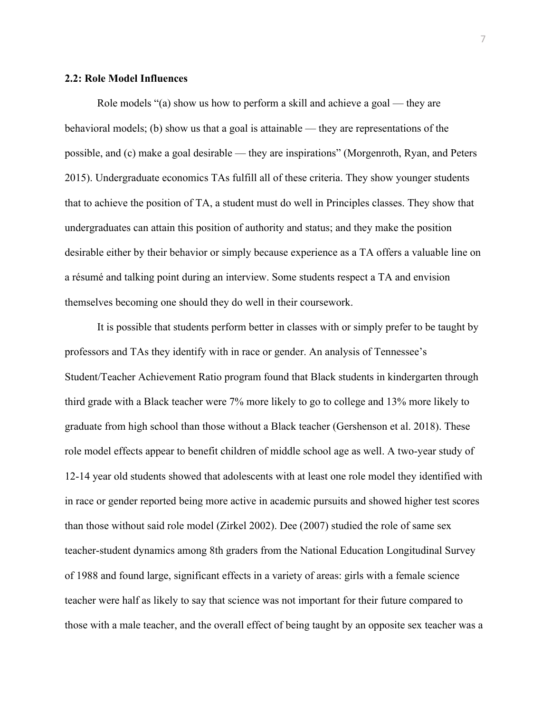#### **2.2: Role Model Influences**

Role models "(a) show us how to perform a skill and achieve a goal — they are behavioral models; (b) show us that a goal is attainable — they are representations of the possible, and (c) make a goal desirable — they are inspirations" (Morgenroth, Ryan, and Peters 2015). Undergraduate economics TAs fulfill all of these criteria. They show younger students that to achieve the position of TA, a student must do well in Principles classes. They show that undergraduates can attain this position of authority and status; and they make the position desirable either by their behavior or simply because experience as a TA offers a valuable line on a résumé and talking point during an interview. Some students respect a TA and envision themselves becoming one should they do well in their coursework.

It is possible that students perform better in classes with or simply prefer to be taught by professors and TAs they identify with in race or gender. An analysis of Tennessee's Student/Teacher Achievement Ratio program found that Black students in kindergarten through third grade with a Black teacher were 7% more likely to go to college and 13% more likely to graduate from high school than those without a Black teacher (Gershenson et al. 2018). These role model effects appear to benefit children of middle school age as well. A two-year study of 12-14 year old students showed that adolescents with at least one role model they identified with in race or gender reported being more active in academic pursuits and showed higher test scores than those without said role model (Zirkel 2002). Dee (2007) studied the role of same sex teacher-student dynamics among 8th graders from the National Education Longitudinal Survey of 1988 and found large, significant effects in a variety of areas: girls with a female science teacher were half as likely to say that science was not important for their future compared to those with a male teacher, and the overall effect of being taught by an opposite sex teacher was a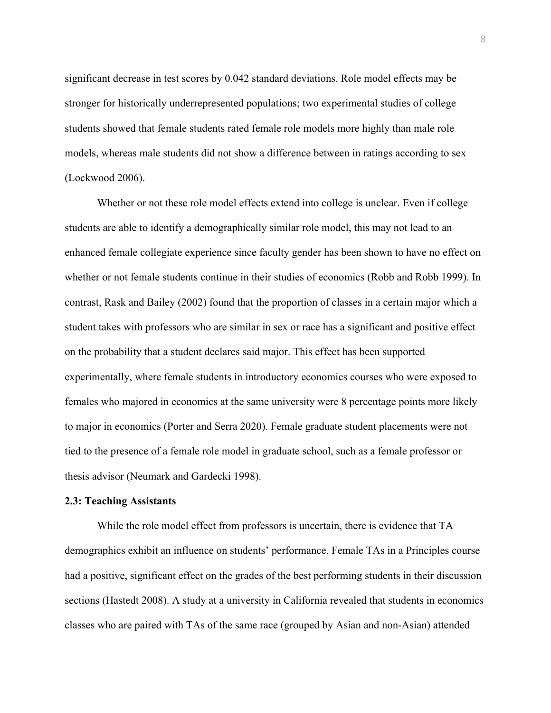significant decrease in test scores by 0.042 standard deviations. Role model effects may be stronger for historically underrepresented populations; two experimental studies of college students showed that female students rated female role models more highly than male role models, whereas male students did not show a difference between in ratings according to sex (Lockwood 2006).

Whether or not these role model effects extend into college is unclear. Even if college students are able to identify a demographically similar role model, this may not lead to an enhanced female collegiate experience since faculty gender has been shown to have no effect on whether or not female students continue in their studies of economics (Robb and Robb 1999). In contrast, Rask and Bailey (2002) found that the proportion of classes in a certain major which a student takes with professors who are similar in sex or race has a significant and positive effect on the probability that a student declares said major. This effect has been supported experimentally, where female students in introductory economics courses who were exposed to females who majored in economics at the same university were 8 percentage points more likely to major in economics (Porter and Serra 2020). Female graduate student placements were not tied to the presence of a female role model in graduate school, such as a female professor or thesis advisor (Neumark and Gardecki 1998).

#### **2.3: Teaching Assistants**

While the role model effect from professors is uncertain, there is evidence that TA demographics exhibit an influence on students' performance. Female TAs in a Principles course had a positive, significant effect on the grades of the best performing students in their discussion sections (Hastedt 2008). A study at a university in California revealed that students in economics classes who are paired with TAs of the same race (grouped by Asian and non-Asian) attended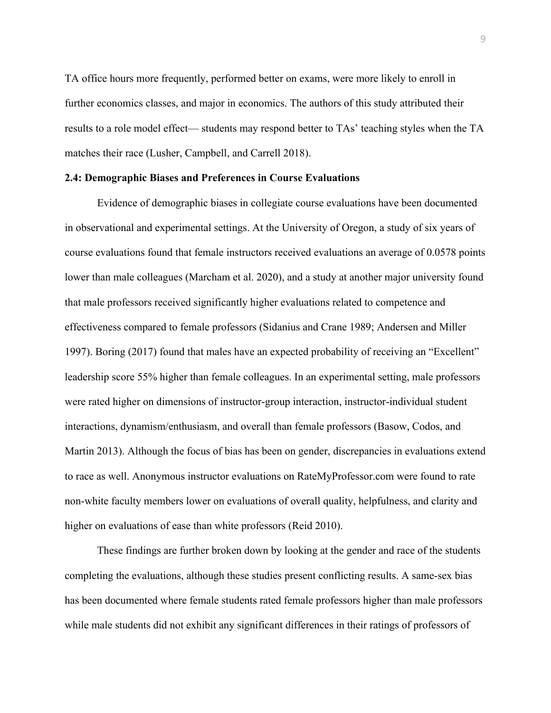TA office hours more frequently, performed better on exams, were more likely to enroll in further economics classes, and major in economics. The authors of this study attributed their results to a role model effect— students may respond better to TAs' teaching styles when the TA matches their race (Lusher, Campbell, and Carrell 2018).

#### **2.4: Demographic Biases and Preferences in Course Evaluations**

Evidence of demographic biases in collegiate course evaluations have been documented in observational and experimental settings. At the University of Oregon, a study of six years of course evaluations found that female instructors received evaluations an average of 0.0578 points lower than male colleagues (Marcham et al. 2020), and a study at another major university found that male professors received significantly higher evaluations related to competence and effectiveness compared to female professors (Sidanius and Crane 1989; Andersen and Miller 1997). Boring (2017) found that males have an expected probability of receiving an "Excellent" leadership score 55% higher than female colleagues. In an experimental setting, male professors were rated higher on dimensions of instructor-group interaction, instructor-individual student interactions, dynamism/enthusiasm, and overall than female professors (Basow, Codos, and Martin 2013). Although the focus of bias has been on gender, discrepancies in evaluations extend to race as well. Anonymous instructor evaluations on RateMyProfessor.com were found to rate non-white faculty members lower on evaluations of overall quality, helpfulness, and clarity and higher on evaluations of ease than white professors (Reid 2010).

These findings are further broken down by looking at the gender and race of the students completing the evaluations, although these studies present conflicting results. A same-sex bias has been documented where female students rated female professors higher than male professors while male students did not exhibit any significant differences in their ratings of professors of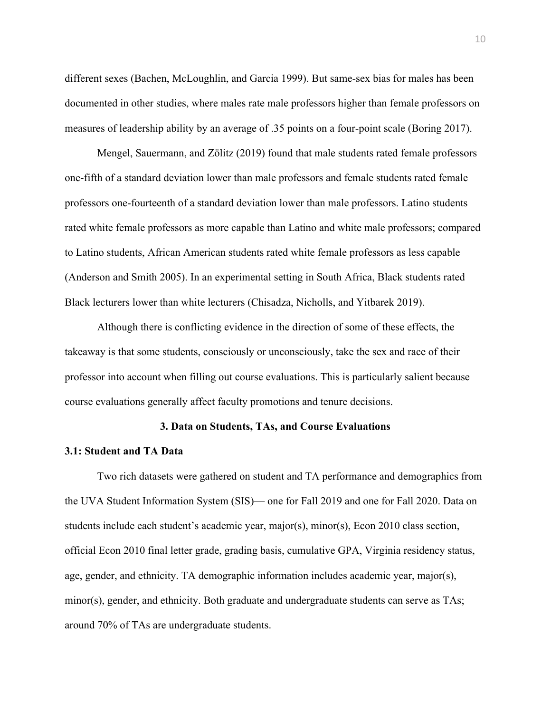different sexes (Bachen, McLoughlin, and Garcia 1999). But same-sex bias for males has been documented in other studies, where males rate male professors higher than female professors on measures of leadership ability by an average of .35 points on a four-point scale (Boring 2017).

Mengel, Sauermann, and Zölitz (2019) found that male students rated female professors one-fifth of a standard deviation lower than male professors and female students rated female professors one-fourteenth of a standard deviation lower than male professors. Latino students rated white female professors as more capable than Latino and white male professors; compared to Latino students, African American students rated white female professors as less capable (Anderson and Smith 2005). In an experimental setting in South Africa, Black students rated Black lecturers lower than white lecturers (Chisadza, Nicholls, and Yitbarek 2019).

Although there is conflicting evidence in the direction of some of these effects, the takeaway is that some students, consciously or unconsciously, take the sex and race of their professor into account when filling out course evaluations. This is particularly salient because course evaluations generally affect faculty promotions and tenure decisions.

#### **3. Data on Students, TAs, and Course Evaluations**

#### **3.1: Student and TA Data**

Two rich datasets were gathered on student and TA performance and demographics from the UVA Student Information System (SIS)— one for Fall 2019 and one for Fall 2020. Data on students include each student's academic year, major(s), minor(s), Econ 2010 class section, official Econ 2010 final letter grade, grading basis, cumulative GPA, Virginia residency status, age, gender, and ethnicity. TA demographic information includes academic year, major(s), minor(s), gender, and ethnicity. Both graduate and undergraduate students can serve as TAs; around 70% of TAs are undergraduate students.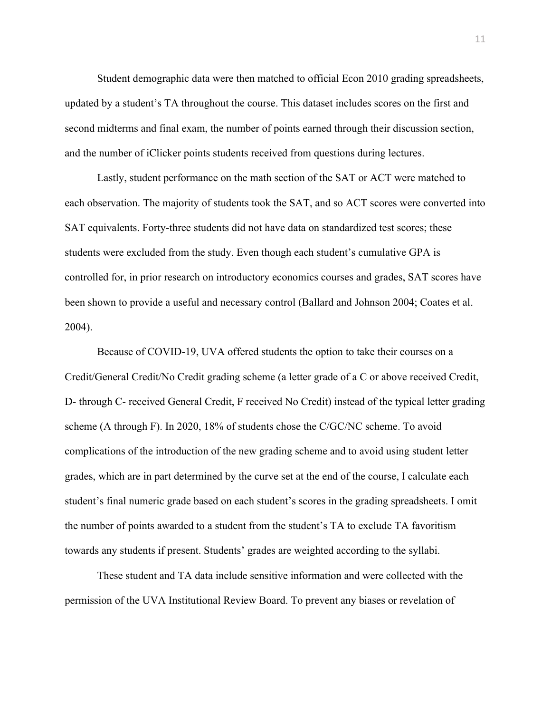Student demographic data were then matched to official Econ 2010 grading spreadsheets, updated by a student's TA throughout the course. This dataset includes scores on the first and second midterms and final exam, the number of points earned through their discussion section, and the number of iClicker points students received from questions during lectures.

Lastly, student performance on the math section of the SAT or ACT were matched to each observation. The majority of students took the SAT, and so ACT scores were converted into SAT equivalents. Forty-three students did not have data on standardized test scores; these students were excluded from the study. Even though each student's cumulative GPA is controlled for, in prior research on introductory economics courses and grades, SAT scores have been shown to provide a useful and necessary control (Ballard and Johnson 2004; Coates et al. 2004).

Because of COVID-19, UVA offered students the option to take their courses on a Credit/General Credit/No Credit grading scheme (a letter grade of a C or above received Credit, D- through C- received General Credit, F received No Credit) instead of the typical letter grading scheme (A through F). In 2020, 18% of students chose the C/GC/NC scheme. To avoid complications of the introduction of the new grading scheme and to avoid using student letter grades, which are in part determined by the curve set at the end of the course, I calculate each student's final numeric grade based on each student's scores in the grading spreadsheets. I omit the number of points awarded to a student from the student's TA to exclude TA favoritism towards any students if present. Students' grades are weighted according to the syllabi.

These student and TA data include sensitive information and were collected with the permission of the UVA Institutional Review Board. To prevent any biases or revelation of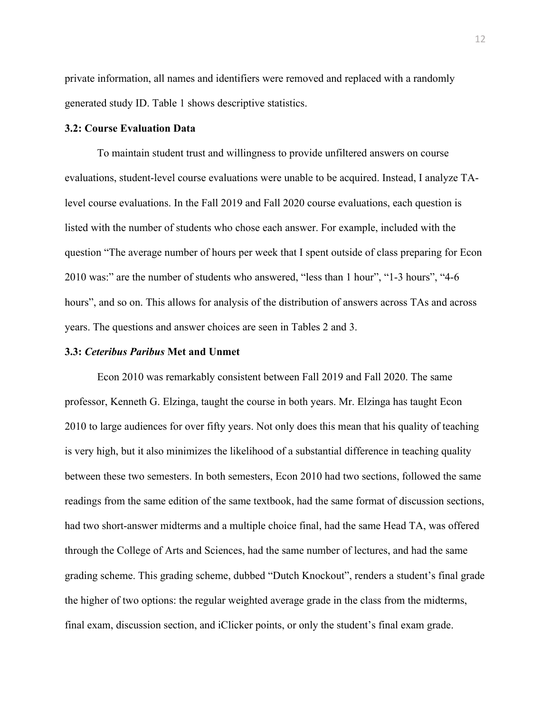private information, all names and identifiers were removed and replaced with a randomly generated study ID. Table 1 shows descriptive statistics.

#### **3.2: Course Evaluation Data**

To maintain student trust and willingness to provide unfiltered answers on course evaluations, student-level course evaluations were unable to be acquired. Instead, I analyze TAlevel course evaluations. In the Fall 2019 and Fall 2020 course evaluations, each question is listed with the number of students who chose each answer. For example, included with the question "The average number of hours per week that I spent outside of class preparing for Econ 2010 was:" are the number of students who answered, "less than 1 hour", "1-3 hours", "4-6 hours", and so on. This allows for analysis of the distribution of answers across TAs and across years. The questions and answer choices are seen in Tables 2 and 3.

#### **3.3:** *Ceteribus Paribus* **Met and Unmet**

Econ 2010 was remarkably consistent between Fall 2019 and Fall 2020. The same professor, Kenneth G. Elzinga, taught the course in both years. Mr. Elzinga has taught Econ 2010 to large audiences for over fifty years. Not only does this mean that his quality of teaching is very high, but it also minimizes the likelihood of a substantial difference in teaching quality between these two semesters. In both semesters, Econ 2010 had two sections, followed the same readings from the same edition of the same textbook, had the same format of discussion sections, had two short-answer midterms and a multiple choice final, had the same Head TA, was offered through the College of Arts and Sciences, had the same number of lectures, and had the same grading scheme. This grading scheme, dubbed "Dutch Knockout", renders a student's final grade the higher of two options: the regular weighted average grade in the class from the midterms, final exam, discussion section, and iClicker points, or only the student's final exam grade.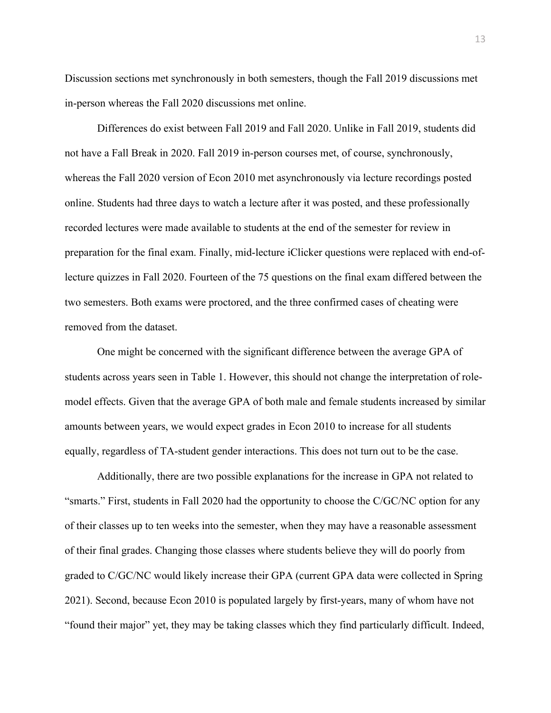Discussion sections met synchronously in both semesters, though the Fall 2019 discussions met in-person whereas the Fall 2020 discussions met online.

Differences do exist between Fall 2019 and Fall 2020. Unlike in Fall 2019, students did not have a Fall Break in 2020. Fall 2019 in-person courses met, of course, synchronously, whereas the Fall 2020 version of Econ 2010 met asynchronously via lecture recordings posted online. Students had three days to watch a lecture after it was posted, and these professionally recorded lectures were made available to students at the end of the semester for review in preparation for the final exam. Finally, mid-lecture iClicker questions were replaced with end-oflecture quizzes in Fall 2020. Fourteen of the 75 questions on the final exam differed between the two semesters. Both exams were proctored, and the three confirmed cases of cheating were removed from the dataset.

One might be concerned with the significant difference between the average GPA of students across years seen in Table 1. However, this should not change the interpretation of rolemodel effects. Given that the average GPA of both male and female students increased by similar amounts between years, we would expect grades in Econ 2010 to increase for all students equally, regardless of TA-student gender interactions. This does not turn out to be the case.

Additionally, there are two possible explanations for the increase in GPA not related to "smarts." First, students in Fall 2020 had the opportunity to choose the C/GC/NC option for any of their classes up to ten weeks into the semester, when they may have a reasonable assessment of their final grades. Changing those classes where students believe they will do poorly from graded to C/GC/NC would likely increase their GPA (current GPA data were collected in Spring 2021). Second, because Econ 2010 is populated largely by first-years, many of whom have not "found their major" yet, they may be taking classes which they find particularly difficult. Indeed,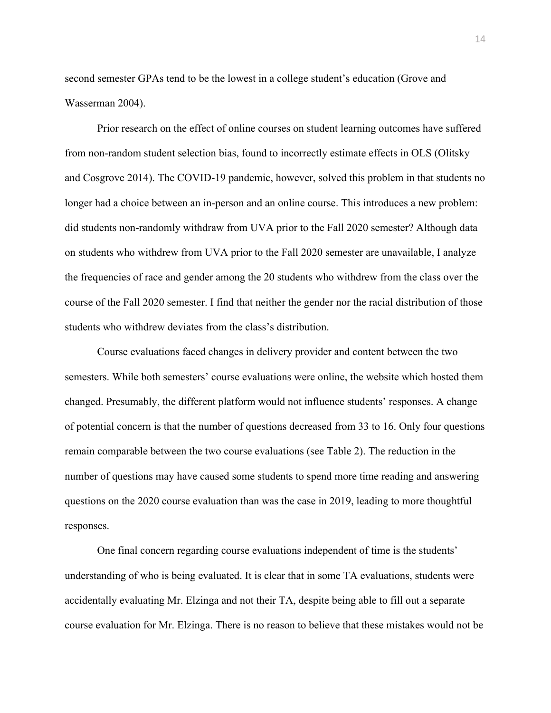second semester GPAs tend to be the lowest in a college student's education (Grove and Wasserman 2004).

Prior research on the effect of online courses on student learning outcomes have suffered from non-random student selection bias, found to incorrectly estimate effects in OLS (Olitsky and Cosgrove 2014). The COVID-19 pandemic, however, solved this problem in that students no longer had a choice between an in-person and an online course. This introduces a new problem: did students non-randomly withdraw from UVA prior to the Fall 2020 semester? Although data on students who withdrew from UVA prior to the Fall 2020 semester are unavailable, I analyze the frequencies of race and gender among the 20 students who withdrew from the class over the course of the Fall 2020 semester. I find that neither the gender nor the racial distribution of those students who withdrew deviates from the class's distribution.

Course evaluations faced changes in delivery provider and content between the two semesters. While both semesters' course evaluations were online, the website which hosted them changed. Presumably, the different platform would not influence students' responses. A change of potential concern is that the number of questions decreased from 33 to 16. Only four questions remain comparable between the two course evaluations (see Table 2). The reduction in the number of questions may have caused some students to spend more time reading and answering questions on the 2020 course evaluation than was the case in 2019, leading to more thoughtful responses.

One final concern regarding course evaluations independent of time is the students' understanding of who is being evaluated. It is clear that in some TA evaluations, students were accidentally evaluating Mr. Elzinga and not their TA, despite being able to fill out a separate course evaluation for Mr. Elzinga. There is no reason to believe that these mistakes would not be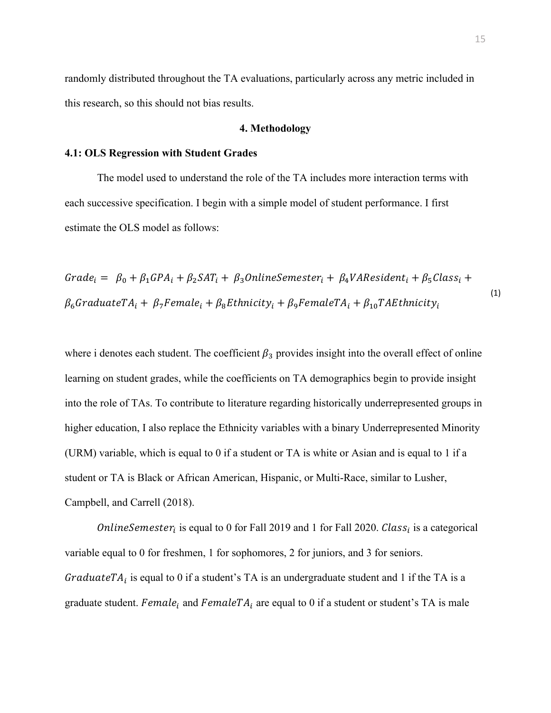randomly distributed throughout the TA evaluations, particularly across any metric included in this research, so this should not bias results.

#### **4. Methodology**

#### **4.1: OLS Regression with Student Grades**

The model used to understand the role of the TA includes more interaction terms with each successive specification. I begin with a simple model of student performance. I first estimate the OLS model as follows:

 $Grade_i = \beta_0 + \beta_1 GPA_i + \beta_2 SAT_i + \beta_3 Online semester_i + \beta_4 VAREsident_i + \beta_5 Class_i +$  $\beta_6$ GraduateT $A_i + \beta_7$ Female<sub>i</sub> +  $\beta_8$ Ethnicity<sub>i</sub> +  $\beta_9$ FemaleT $A_i + \beta_{10}$ TAEthnicity<sub>i</sub> (1)

where i denotes each student. The coefficient  $\beta_3$  provides insight into the overall effect of online learning on student grades, while the coefficients on TA demographics begin to provide insight into the role of TAs. To contribute to literature regarding historically underrepresented groups in higher education, I also replace the Ethnicity variables with a binary Underrepresented Minority (URM) variable, which is equal to 0 if a student or TA is white or Asian and is equal to 1 if a student or TA is Black or African American, Hispanic, or Multi-Race, similar to Lusher, Campbell, and Carrell (2018).

*OnlineSemester<sub>i</sub>* is equal to 0 for Fall 2019 and 1 for Fall 2020. *Class<sub>i</sub>* is a categorical variable equal to 0 for freshmen, 1 for sophomores, 2 for juniors, and 3 for seniors. GraduateT $A_i$  is equal to 0 if a student's TA is an undergraduate student and 1 if the TA is a graduate student. Female<sub>i</sub> and FemaleTA<sub>i</sub> are equal to 0 if a student or student's TA is male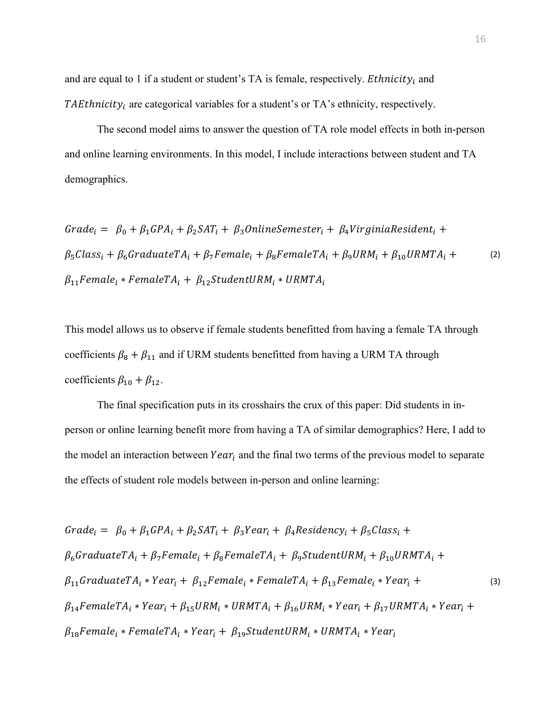and are equal to 1 if a student or student's TA is female, respectively. *Ethnicity<sub>i</sub>* and TAEthnicity<sub>i</sub> are categorical variables for a student's or TA's ethnicity, respectively.

The second model aims to answer the question of TA role model effects in both in-person and online learning environments. In this model, I include interactions between student and TA demographics.

$$
Grade_i = \beta_0 + \beta_1 GPA_i + \beta_2 SAT_i + \beta_3 Online semester_i + \beta_4 VirginiaResident_i +
$$
  
\n
$$
\beta_5 Class_i + \beta_6 GradientTA_i + \beta_7 Female_i + \beta_8 FemaleTA_i + \beta_9 URM_i + \beta_{10} URMTA_i +
$$
  
\n
$$
\beta_{11} Female_i * FemaleTA_i + \beta_{12} StudentURM_i * URMTA_i
$$
\n(2)

This model allows us to observe if female students benefitted from having a female TA through coefficients  $\beta_8 + \beta_{11}$  and if URM students benefitted from having a URM TA through coefficients  $\beta_{10} + \beta_{12}$ .

The final specification puts in its crosshairs the crux of this paper: Did students in inperson or online learning benefit more from having a TA of similar demographics? Here, I add to the model an interaction between  $Year_i$  and the final two terms of the previous model to separate the effects of student role models between in-person and online learning:

$$
Grade_{i} = \beta_{0} + \beta_{1} GPA_{i} + \beta_{2} SAT_{i} + \beta_{3} Year_{i} + \beta_{4} Residency_{i} + \beta_{5} Class_{i} +
$$
\n
$$
\beta_{6} GraduateTA_{i} + \beta_{7} Female_{i} + \beta_{8} FemaleTA_{i} + \beta_{9} StudentURN_{i} + \beta_{10} URMTA_{i} +
$$
\n
$$
\beta_{11} GraduateTA_{i} * Year_{i} + \beta_{12} Female_{i} * FemaleTA_{i} + \beta_{13} Female_{i} * Year_{i} +
$$
\n
$$
\beta_{14} FemaleTA_{i} * Year_{i} + \beta_{15} URM_{i} * URMTA_{i} + \beta_{16} URM_{i} * Year_{i} + \beta_{17} URMTA_{i} * Year_{i} +
$$
\n
$$
\beta_{18} Female_{i} * FemaleTA_{i} * Year_{i} + \beta_{19} StudentURN_{i} * URMTA_{i} * Year_{i}
$$
\n(3)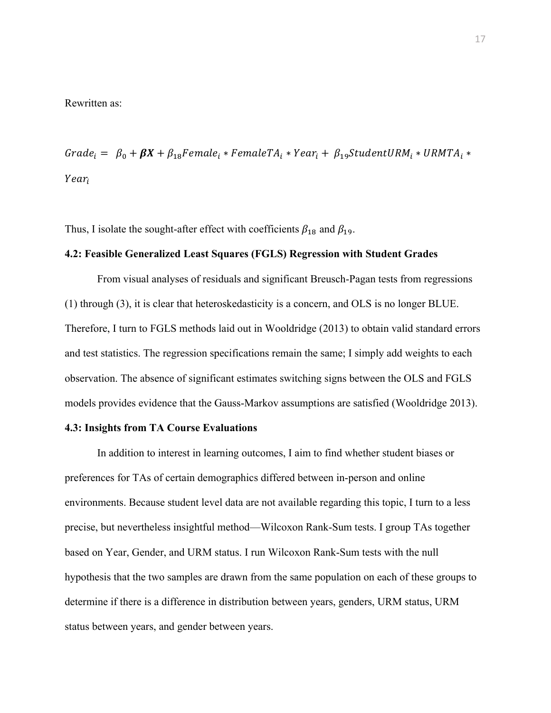#### Rewritten as:

Grade<sub>i</sub> =  $\beta_0 + \beta X + \beta_{18}$ Female<sub>i</sub> \* FemaleTA<sub>i</sub> \* Year<sub>i</sub> +  $\beta_{19}$ StudentURM<sub>i</sub> \* URMTA<sub>i</sub> \* Year<sub>i</sub>

Thus, I isolate the sought-after effect with coefficients  $\beta_{18}$  and  $\beta_{19}$ .

#### **4.2: Feasible Generalized Least Squares (FGLS) Regression with Student Grades**

From visual analyses of residuals and significant Breusch-Pagan tests from regressions (1) through (3), it is clear that heteroskedasticity is a concern, and OLS is no longer BLUE. Therefore, I turn to FGLS methods laid out in Wooldridge (2013) to obtain valid standard errors and test statistics. The regression specifications remain the same; I simply add weights to each observation. The absence of significant estimates switching signs between the OLS and FGLS models provides evidence that the Gauss-Markov assumptions are satisfied (Wooldridge 2013).

#### **4.3: Insights from TA Course Evaluations**

In addition to interest in learning outcomes, I aim to find whether student biases or preferences for TAs of certain demographics differed between in-person and online environments. Because student level data are not available regarding this topic, I turn to a less precise, but nevertheless insightful method—Wilcoxon Rank-Sum tests. I group TAs together based on Year, Gender, and URM status. I run Wilcoxon Rank-Sum tests with the null hypothesis that the two samples are drawn from the same population on each of these groups to determine if there is a difference in distribution between years, genders, URM status, URM status between years, and gender between years.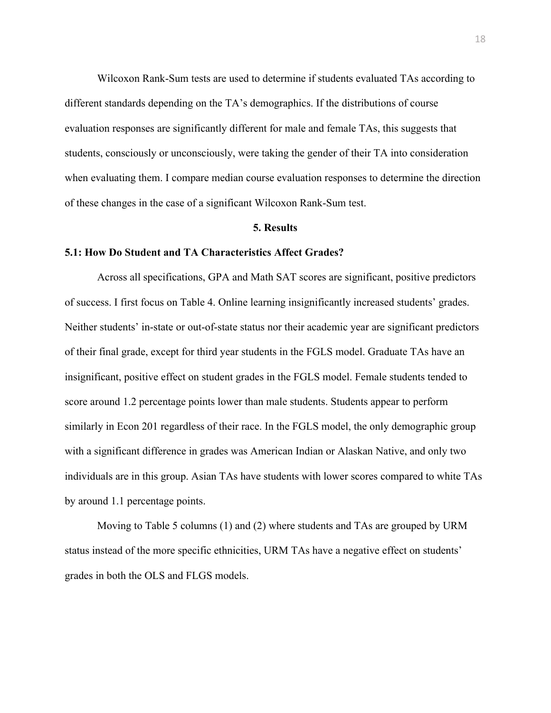Wilcoxon Rank-Sum tests are used to determine if students evaluated TAs according to different standards depending on the TA's demographics. If the distributions of course evaluation responses are significantly different for male and female TAs, this suggests that students, consciously or unconsciously, were taking the gender of their TA into consideration when evaluating them. I compare median course evaluation responses to determine the direction of these changes in the case of a significant Wilcoxon Rank-Sum test.

#### **5. Results**

#### **5.1: How Do Student and TA Characteristics Affect Grades?**

Across all specifications, GPA and Math SAT scores are significant, positive predictors of success. I first focus on Table 4. Online learning insignificantly increased students' grades. Neither students' in-state or out-of-state status nor their academic year are significant predictors of their final grade, except for third year students in the FGLS model. Graduate TAs have an insignificant, positive effect on student grades in the FGLS model. Female students tended to score around 1.2 percentage points lower than male students. Students appear to perform similarly in Econ 201 regardless of their race. In the FGLS model, the only demographic group with a significant difference in grades was American Indian or Alaskan Native, and only two individuals are in this group. Asian TAs have students with lower scores compared to white TAs by around 1.1 percentage points.

Moving to Table 5 columns (1) and (2) where students and TAs are grouped by URM status instead of the more specific ethnicities, URM TAs have a negative effect on students' grades in both the OLS and FLGS models.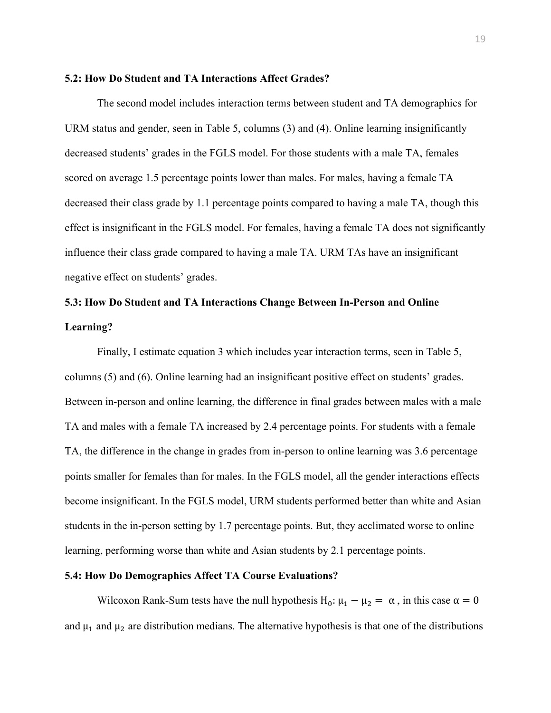#### **5.2: How Do Student and TA Interactions Affect Grades?**

The second model includes interaction terms between student and TA demographics for URM status and gender, seen in Table 5, columns (3) and (4). Online learning insignificantly decreased students' grades in the FGLS model. For those students with a male TA, females scored on average 1.5 percentage points lower than males. For males, having a female TA decreased their class grade by 1.1 percentage points compared to having a male TA, though this effect is insignificant in the FGLS model. For females, having a female TA does not significantly influence their class grade compared to having a male TA. URM TAs have an insignificant negative effect on students' grades.

# **5.3: How Do Student and TA Interactions Change Between In-Person and Online Learning?**

Finally, I estimate equation 3 which includes year interaction terms, seen in Table 5, columns (5) and (6). Online learning had an insignificant positive effect on students' grades. Between in-person and online learning, the difference in final grades between males with a male TA and males with a female TA increased by 2.4 percentage points. For students with a female TA, the difference in the change in grades from in-person to online learning was 3.6 percentage points smaller for females than for males. In the FGLS model, all the gender interactions effects become insignificant. In the FGLS model, URM students performed better than white and Asian students in the in-person setting by 1.7 percentage points. But, they acclimated worse to online learning, performing worse than white and Asian students by 2.1 percentage points.

#### **5.4: How Do Demographics Affect TA Course Evaluations?**

Wilcoxon Rank-Sum tests have the null hypothesis H<sub>0</sub>:  $\mu_1 - \mu_2 = \alpha$ , in this case  $\alpha = 0$ and  $\mu_1$  and  $\mu_2$  are distribution medians. The alternative hypothesis is that one of the distributions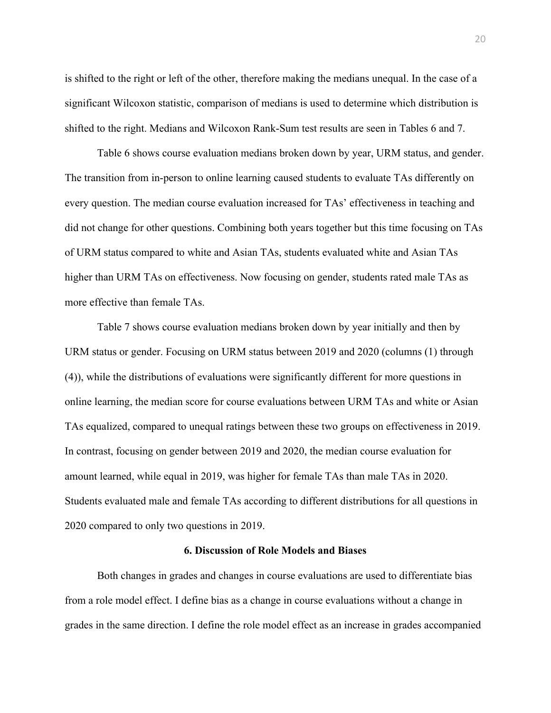is shifted to the right or left of the other, therefore making the medians unequal. In the case of a significant Wilcoxon statistic, comparison of medians is used to determine which distribution is shifted to the right. Medians and Wilcoxon Rank-Sum test results are seen in Tables 6 and 7.

Table 6 shows course evaluation medians broken down by year, URM status, and gender. The transition from in-person to online learning caused students to evaluate TAs differently on every question. The median course evaluation increased for TAs' effectiveness in teaching and did not change for other questions. Combining both years together but this time focusing on TAs of URM status compared to white and Asian TAs, students evaluated white and Asian TAs higher than URM TAs on effectiveness. Now focusing on gender, students rated male TAs as more effective than female TAs.

Table 7 shows course evaluation medians broken down by year initially and then by URM status or gender. Focusing on URM status between 2019 and 2020 (columns (1) through (4)), while the distributions of evaluations were significantly different for more questions in online learning, the median score for course evaluations between URM TAs and white or Asian TAs equalized, compared to unequal ratings between these two groups on effectiveness in 2019. In contrast, focusing on gender between 2019 and 2020, the median course evaluation for amount learned, while equal in 2019, was higher for female TAs than male TAs in 2020. Students evaluated male and female TAs according to different distributions for all questions in 2020 compared to only two questions in 2019.

#### **6. Discussion of Role Models and Biases**

Both changes in grades and changes in course evaluations are used to differentiate bias from a role model effect. I define bias as a change in course evaluations without a change in grades in the same direction. I define the role model effect as an increase in grades accompanied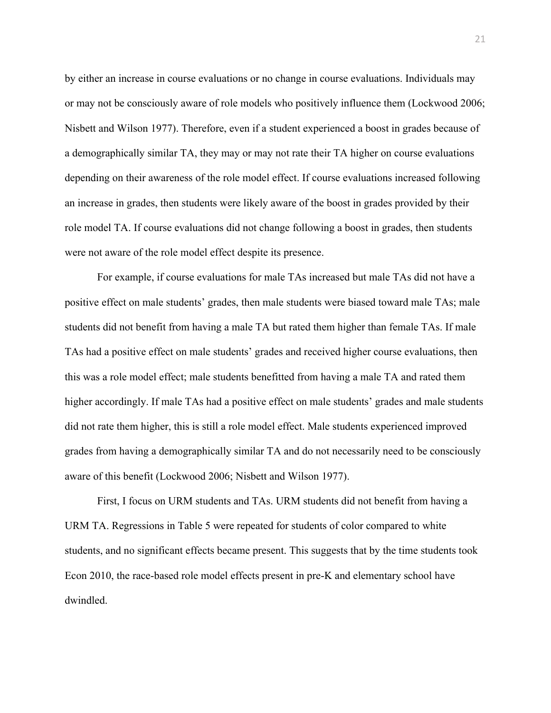by either an increase in course evaluations or no change in course evaluations. Individuals may or may not be consciously aware of role models who positively influence them (Lockwood 2006; Nisbett and Wilson 1977). Therefore, even if a student experienced a boost in grades because of a demographically similar TA, they may or may not rate their TA higher on course evaluations depending on their awareness of the role model effect. If course evaluations increased following an increase in grades, then students were likely aware of the boost in grades provided by their role model TA. If course evaluations did not change following a boost in grades, then students were not aware of the role model effect despite its presence.

For example, if course evaluations for male TAs increased but male TAs did not have a positive effect on male students' grades, then male students were biased toward male TAs; male students did not benefit from having a male TA but rated them higher than female TAs. If male TAs had a positive effect on male students' grades and received higher course evaluations, then this was a role model effect; male students benefitted from having a male TA and rated them higher accordingly. If male TAs had a positive effect on male students' grades and male students did not rate them higher, this is still a role model effect. Male students experienced improved grades from having a demographically similar TA and do not necessarily need to be consciously aware of this benefit (Lockwood 2006; Nisbett and Wilson 1977).

First, I focus on URM students and TAs. URM students did not benefit from having a URM TA. Regressions in Table 5 were repeated for students of color compared to white students, and no significant effects became present. This suggests that by the time students took Econ 2010, the race-based role model effects present in pre-K and elementary school have dwindled.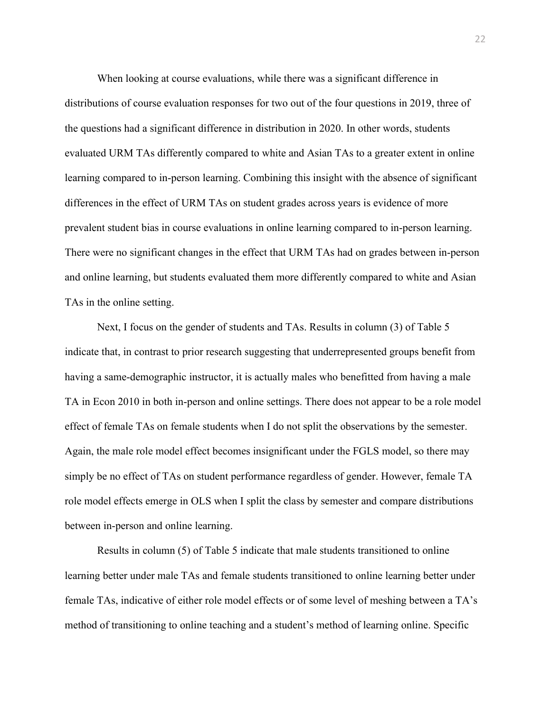When looking at course evaluations, while there was a significant difference in distributions of course evaluation responses for two out of the four questions in 2019, three of the questions had a significant difference in distribution in 2020. In other words, students evaluated URM TAs differently compared to white and Asian TAs to a greater extent in online learning compared to in-person learning. Combining this insight with the absence of significant differences in the effect of URM TAs on student grades across years is evidence of more prevalent student bias in course evaluations in online learning compared to in-person learning. There were no significant changes in the effect that URM TAs had on grades between in-person and online learning, but students evaluated them more differently compared to white and Asian TAs in the online setting.

Next, I focus on the gender of students and TAs. Results in column (3) of Table 5 indicate that, in contrast to prior research suggesting that underrepresented groups benefit from having a same-demographic instructor, it is actually males who benefitted from having a male TA in Econ 2010 in both in-person and online settings. There does not appear to be a role model effect of female TAs on female students when I do not split the observations by the semester. Again, the male role model effect becomes insignificant under the FGLS model, so there may simply be no effect of TAs on student performance regardless of gender. However, female TA role model effects emerge in OLS when I split the class by semester and compare distributions between in-person and online learning.

Results in column (5) of Table 5 indicate that male students transitioned to online learning better under male TAs and female students transitioned to online learning better under female TAs, indicative of either role model effects or of some level of meshing between a TA's method of transitioning to online teaching and a student's method of learning online. Specific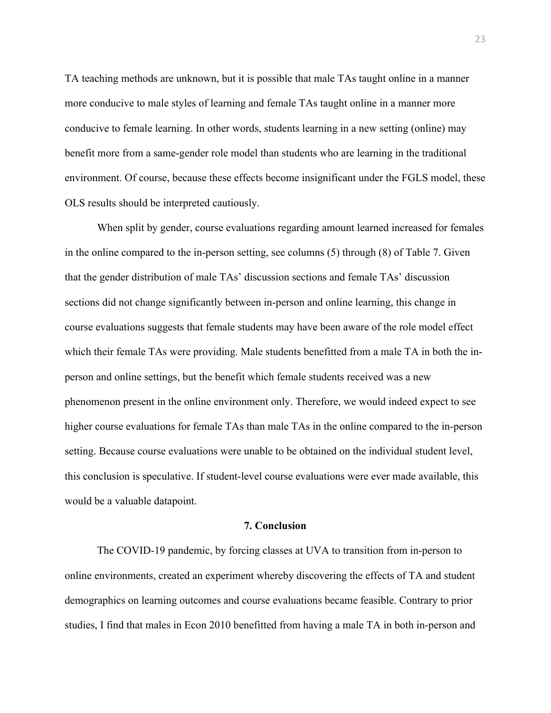TA teaching methods are unknown, but it is possible that male TAs taught online in a manner more conducive to male styles of learning and female TAs taught online in a manner more conducive to female learning. In other words, students learning in a new setting (online) may benefit more from a same-gender role model than students who are learning in the traditional environment. Of course, because these effects become insignificant under the FGLS model, these OLS results should be interpreted cautiously.

When split by gender, course evaluations regarding amount learned increased for females in the online compared to the in-person setting, see columns (5) through (8) of Table 7. Given that the gender distribution of male TAs' discussion sections and female TAs' discussion sections did not change significantly between in-person and online learning, this change in course evaluations suggests that female students may have been aware of the role model effect which their female TAs were providing. Male students benefitted from a male TA in both the inperson and online settings, but the benefit which female students received was a new phenomenon present in the online environment only. Therefore, we would indeed expect to see higher course evaluations for female TAs than male TAs in the online compared to the in-person setting. Because course evaluations were unable to be obtained on the individual student level, this conclusion is speculative. If student-level course evaluations were ever made available, this would be a valuable datapoint.

#### **7. Conclusion**

The COVID-19 pandemic, by forcing classes at UVA to transition from in-person to online environments, created an experiment whereby discovering the effects of TA and student demographics on learning outcomes and course evaluations became feasible. Contrary to prior studies, I find that males in Econ 2010 benefitted from having a male TA in both in-person and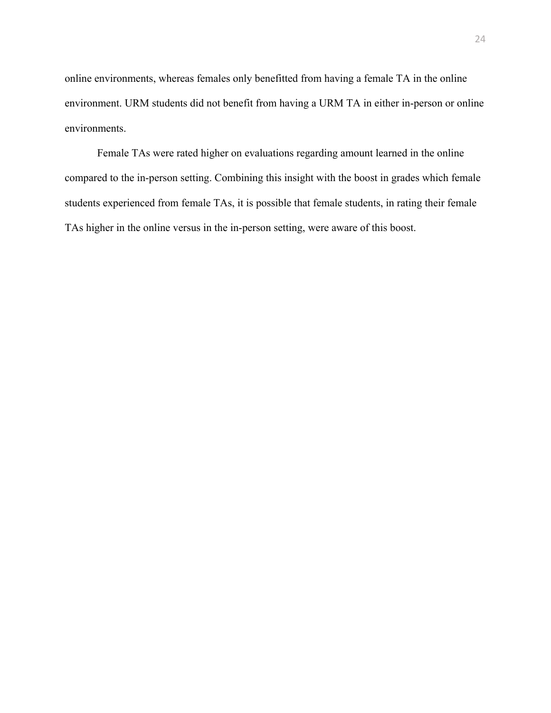online environments, whereas females only benefitted from having a female TA in the online environment. URM students did not benefit from having a URM TA in either in-person or online environments.

Female TAs were rated higher on evaluations regarding amount learned in the online compared to the in-person setting. Combining this insight with the boost in grades which female students experienced from female TAs, it is possible that female students, in rating their female TAs higher in the online versus in the in-person setting, were aware of this boost.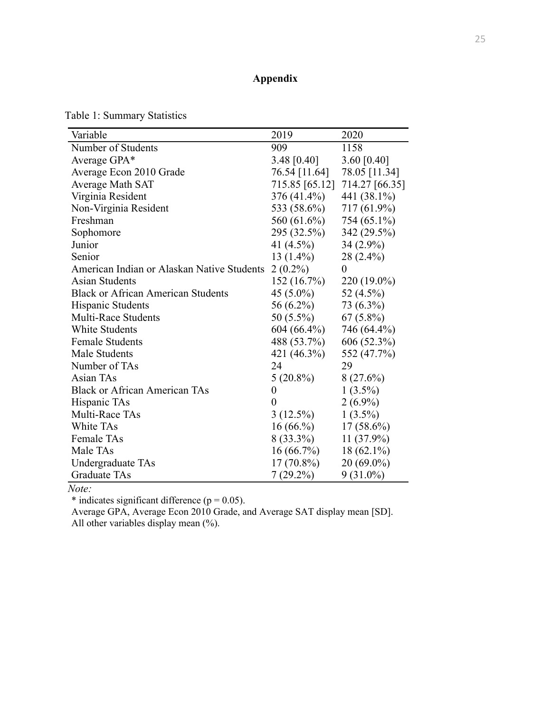### **Appendix**

table output 4/25/21, 4:07 PM

Table 1: Summary Statistics

| Variable                                   | 2019             | 2020           |
|--------------------------------------------|------------------|----------------|
| Number of Students                         | 909              | 1158           |
| Average GPA*                               | 3.48 $[0.40]$    | 3.60 $[0.40]$  |
| Average Econ 2010 Grade                    | 76.54 [11.64]    | 78.05 [11.34]  |
| Average Math SAT                           | 715.85 [65.12]   | 714.27 [66.35] |
| Virginia Resident                          | 376 (41.4%)      | 441 (38.1%)    |
| Non-Virginia Resident                      | 533 (58.6%)      | 717 (61.9%)    |
| Freshman                                   | 560 (61.6%)      | 754 (65.1%)    |
| Sophomore                                  | 295 (32.5%)      | 342 (29.5%)    |
| Junior                                     | 41 (4.5%)        | 34 (2.9%)      |
| Senior                                     | $13(1.4\%)$      | 28 (2.4%)      |
| American Indian or Alaskan Native Students | $2(0.2\%)$       | $\theta$       |
| <b>Asian Students</b>                      | 152(16.7%)       | 220 (19.0%)    |
| <b>Black or African American Students</b>  | 45 (5.0%)        | 52 (4.5%)      |
| Hispanic Students                          | 56 (6.2%)        | 73 (6.3%)      |
| <b>Multi-Race Students</b>                 | 50 (5.5%)        | $67(5.8\%)$    |
| <b>White Students</b>                      | 604 (66.4%)      | 746 (64.4%)    |
| <b>Female Students</b>                     | 488 (53.7%)      | 606 (52.3%)    |
| Male Students                              | 421 (46.3%)      | 552 (47.7%)    |
| Number of TAs                              | 24               | 29             |
| Asian TAs                                  | $5(20.8\%)$      | 8(27.6%)       |
| <b>Black or African American TAs</b>       | $\boldsymbol{0}$ | $1(3.5\%)$     |
| Hispanic TAs                               | $\overline{0}$   | $2(6.9\%)$     |
| Multi-Race TAs                             | $3(12.5\%)$      | $1(3.5\%)$     |
| White TAs                                  | $16(66,\%)$      | $17(58.6\%)$   |
| <b>Female TAs</b>                          | $8(33.3\%)$      | 11 (37.9%)     |
| Male TAs                                   | $16(66.7\%)$     | $18(62.1\%)$   |
| Undergraduate TAs                          | 17 (70.8%)       | $20(69.0\%)$   |
| <b>Graduate TAs</b>                        | $7(29.2\%)$      | $9(31.0\%)$    |

*Note:*

\* indicates significant difference ( $p = 0.05$ ).

Average GPA, Average Econ 2010 Grade, and Average SAT display mean [SD]. All other variables display mean  $(\%).$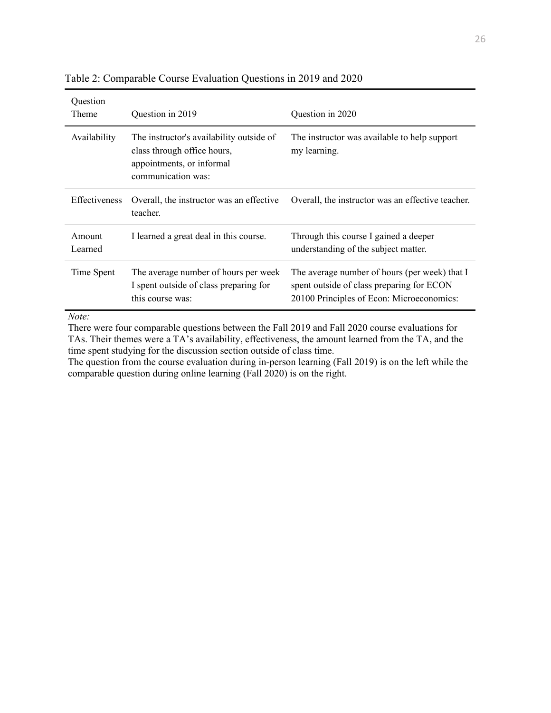table output 4/25/21, 4:12 PM

| Question<br>Theme    | Question in 2019                                                                                                           | Question in 2020                                                                                                                        |
|----------------------|----------------------------------------------------------------------------------------------------------------------------|-----------------------------------------------------------------------------------------------------------------------------------------|
| Availability         | The instructor's availability outside of<br>class through office hours,<br>appointments, or informal<br>communication was: | The instructor was available to help support<br>my learning.                                                                            |
| <b>Effectiveness</b> | Overall, the instructor was an effective<br>teacher.                                                                       | Overall, the instructor was an effective teacher.                                                                                       |
| Amount<br>Learned    | I learned a great deal in this course.                                                                                     | Through this course I gained a deeper<br>understanding of the subject matter.                                                           |
| Time Spent           | The average number of hours per week<br>I spent outside of class preparing for<br>this course was:                         | The average number of hours (per week) that I<br>spent outside of class preparing for ECON<br>20100 Principles of Econ: Microeconomics: |

Table 2: Comparable Course Evaluation Questions in 2019 and 2020

*Note:*

There were four comparable questions between the Fall 2019 and Fall 2020 course evaluations for TAs. Their themes were a TA's availability, effectiveness, the amount learned from the TA, and the time spent studying for the discussion section outside of class time.

The question from the course evaluation during in-person learning (Fall 2019) is on the left while the comparable question during online learning (Fall 2020) is on the right.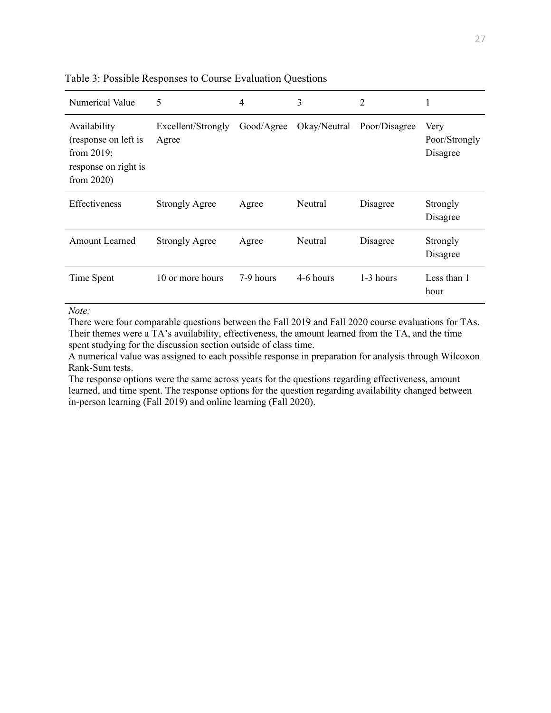#### table output 4/12/21, 3:51 PM

Table 3: Possible Responses to Course Evaluation Questions

| Numerical Value                                                                                | 5                           | 4          | 3            | $\overline{2}$ |                                   |
|------------------------------------------------------------------------------------------------|-----------------------------|------------|--------------|----------------|-----------------------------------|
| Availability<br>(response on left is<br>from $2019$ ;<br>response on right is<br>from $2020$ ) | Excellent/Strongly<br>Agree | Good/Agree | Okay/Neutral | Poor/Disagree  | Very<br>Poor/Strongly<br>Disagree |
| <b>Effectiveness</b>                                                                           | <b>Strongly Agree</b>       | Agree      | Neutral      | Disagree       | Strongly<br>Disagree              |
| Amount Learned                                                                                 | <b>Strongly Agree</b>       | Agree      | Neutral      | Disagree       | Strongly<br>Disagree              |
| Time Spent                                                                                     | 10 or more hours            | 7-9 hours  | 4-6 hours    | $1-3$ hours    | Less than 1<br>hour               |

#### *Note:*

There were four comparable questions between the Fall 2019 and Fall 2020 course evaluations for TAs. Their themes were a TA's availability, effectiveness, the amount learned from the TA, and the time spent studying for the discussion section outside of class time.

A numerical value was assigned to each possible response in preparation for analysis through Wilcoxon Rank-Sum tests.

The response options were the same across years for the questions regarding effectiveness, amount learned, and time spent. The response options for the question regarding availability changed between in-person learning (Fall 2019) and online learning (Fall 2020).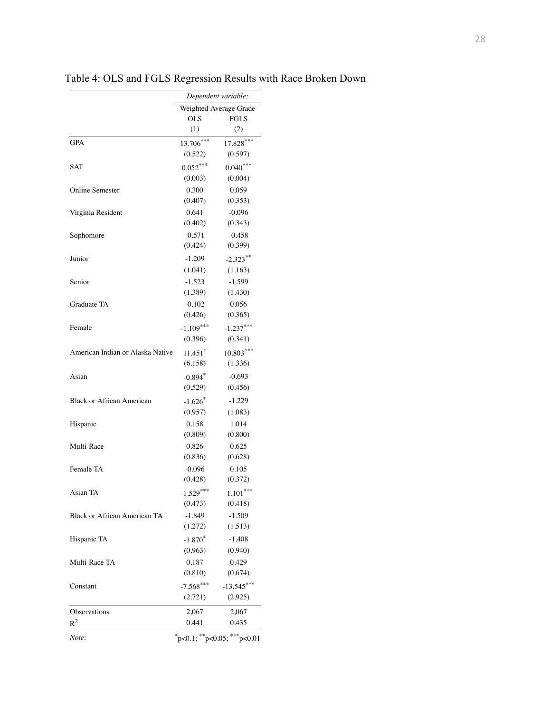|                                  |             | Dependent variable:                     |
|----------------------------------|-------------|-----------------------------------------|
|                                  |             | Weighted Average Grade                  |
|                                  | <b>OLS</b>  | <b>FGLS</b>                             |
|                                  | (1)         | (2)                                     |
| <b>GPA</b>                       | 13.706***   | $17.828***$                             |
|                                  | (0.522)     | (0.597)                                 |
| SAT                              | $0.052***$  | $0.040***$                              |
|                                  | (0.003)     | (0.004)                                 |
| <b>Online Semester</b>           | 0.300       | 0.059                                   |
|                                  | (0.407)     | (0.353)                                 |
| Virginia Resident                | 0.641       | $-0.096$                                |
|                                  | (0.402)     | (0.343)                                 |
| Sophomore                        | $-0.571$    | $-0.458$                                |
|                                  | (0.424)     | (0.399)                                 |
| Junior                           | $-1.209$    | $-2.323**$                              |
|                                  | (1.041)     | (1.163)                                 |
| Senior                           | $-1.523$    | $-1.599$                                |
|                                  | (1.389)     | (1.430)                                 |
| Graduate TA                      | $-0.102$    | 0.056                                   |
|                                  | (0.426)     | (0.365)                                 |
| Female                           | $-1.109***$ | $-1.237***$                             |
|                                  | (0.396)     | (0.341)                                 |
| American Indian or Alaska Native | $11.451*$   | $10.803***$                             |
|                                  | (6.158)     | (1.336)                                 |
|                                  |             |                                         |
| Asian                            | $-0.894*$   | $-0.693$                                |
|                                  | (0.529)     | (0.456)                                 |
| <b>Black or African American</b> | $-1.626*$   | $-1.229$                                |
|                                  | (0.957)     | (1.083)                                 |
| Hispanic                         | 0.158       | 1.014                                   |
|                                  | (0.809)     | (0.800)                                 |
| Multi-Race                       | 0.826       | 0.625                                   |
|                                  | (0.836)     | (0.628)                                 |
| Female TA                        | $-0.096$    | 0.105                                   |
|                                  | (0.428)     | (0.372)                                 |
| Asian TA                         | $-1.529***$ | $-1.101***$                             |
|                                  | (0.473)     | (0.418)                                 |
| Black or African American TA     | $-1.849$    | $-1.509$                                |
|                                  | (1.272)     | (1.513)                                 |
| Hispanic TA                      | $-1.870*$   | $-1.408$                                |
|                                  | (0.963)     | (0.940)                                 |
| Multi-Race TA                    | 0.187       | 0.429                                   |
|                                  | (0.810)     | (0.674)                                 |
| Constant                         | $-7.568***$ | $-13.545***$                            |
|                                  | (2.721)     | (2.925)                                 |
| Observations                     | 2,067       | 2,067                                   |
| $R^2$                            | 0.441       | 0.435                                   |
| Note:                            |             | $*_{p<0.1;}$ $*_{p<0.05;}$ $*_{p<0.01}$ |
|                                  |             |                                         |

Table 4: OLS and FGLS Regression Results with Race Broken Down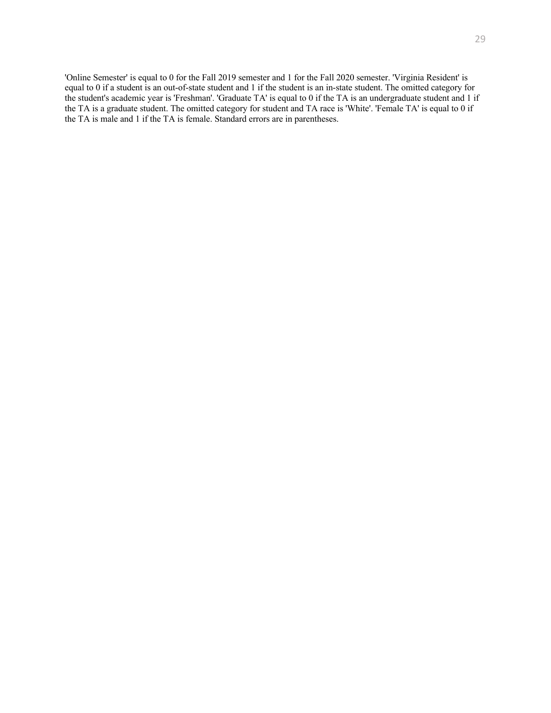'Online Semester' is equal to 0 for the Fall 2019 semester and 1 for the Fall 2020 semester. 'Virginia Resident' is equal to 0 if a student is an out-of-state student and 1 if the student is an in-state student. The omitted category for the student's academic year is 'Freshman'. 'Graduate TA' is equal to 0 if the TA is an undergraduate student and 1 if the TA is a graduate student. The omitted category for student and TA race is 'White'. 'Female TA' is equal to 0 if the TA is male and 1 if the TA is female. Standard errors are in parentheses.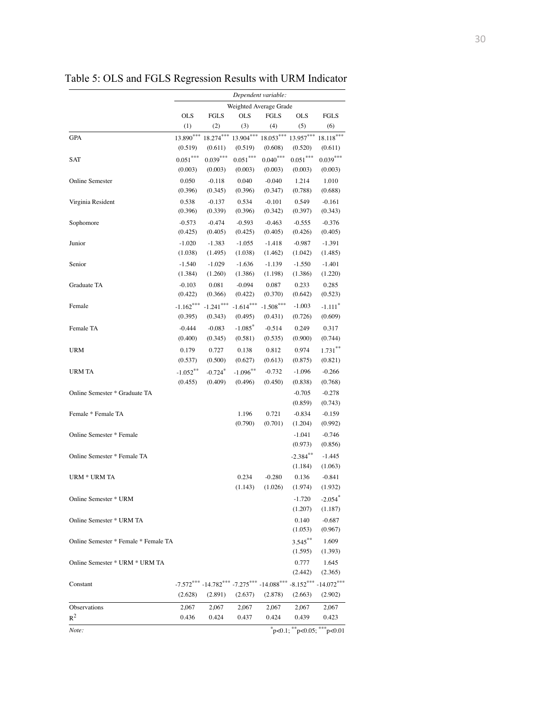|                                      |             |             |                                                                            | Dependent variable: |             |                               |
|--------------------------------------|-------------|-------------|----------------------------------------------------------------------------|---------------------|-------------|-------------------------------|
|                                      |             |             | Weighted Average Grade                                                     |                     |             |                               |
|                                      | <b>OLS</b>  | <b>FGLS</b> | <b>OLS</b>                                                                 | <b>FGLS</b>         | <b>OLS</b>  | FGLS                          |
|                                      | (1)         | (2)         | (3)                                                                        | (4)                 | (5)         | (6)                           |
| <b>GPA</b>                           | $13.890***$ | $18.274***$ | $13.904***$                                                                | $18.053***$         | $13.957***$ | $18.118***$                   |
|                                      | (0.519)     | (0.611)     | (0.519)                                                                    | (0.608)             | (0.520)     | (0.611)                       |
| SAT                                  | $0.051***$  | $0.039***$  | $0.051***$                                                                 | $0.040***$          | $0.051***$  | $0.039***$                    |
|                                      | (0.003)     | (0.003)     | (0.003)                                                                    | (0.003)             | (0.003)     | (0.003)                       |
| Online Semester                      | 0.050       | $-0.118$    | 0.040                                                                      | $-0.040$            | 1.214       | 1.010                         |
|                                      | (0.396)     | (0.345)     | (0.396)                                                                    | (0.347)             | (0.788)     | (0.688)                       |
| Virginia Resident                    | 0.538       | $-0.137$    | 0.534                                                                      | $-0.101$            | 0.549       | $-0.161$                      |
|                                      | (0.396)     | (0.339)     | (0.396)                                                                    | (0.342)             | (0.397)     | (0.343)                       |
| Sophomore                            | $-0.573$    | $-0.474$    | $-0.593$                                                                   | $-0.463$            | $-0.555$    | $-0.376$                      |
|                                      | (0.425)     | (0.405)     | (0.425)                                                                    | (0.405)             | (0.426)     | (0.405)                       |
| Junior                               | $-1.020$    | $-1.383$    | $-1.055$                                                                   | $-1.418$            | $-0.987$    | $-1.391$                      |
|                                      | (1.038)     | (1.495)     | (1.038)                                                                    | (1.462)             | (1.042)     | (1.485)                       |
| Senior                               | $-1.540$    | $-1.029$    | $-1.636$                                                                   | $-1.139$            | $-1.550$    | $-1.401$                      |
|                                      | (1.384)     | (1.260)     | (1.386)                                                                    | (1.198)             | (1.386)     | (1.220)                       |
| Graduate TA                          | $-0.103$    | 0.081       | $-0.094$                                                                   | 0.087               | 0.233       | 0.285                         |
|                                      | (0.422)     | (0.366)     | (0.422)                                                                    | (0.370)             | (0.642)     | (0.523)                       |
| Female                               | $-1.162***$ | $-1.241***$ | $-1.614***$                                                                | $-1.508***$         | $-1.003$    | $-1.111$ <sup>*</sup>         |
|                                      | (0.395)     | (0.343)     | (0.495)                                                                    | (0.431)             | (0.726)     | (0.609)                       |
| Female TA                            | $-0.444$    | $-0.083$    | $-1.085$ *                                                                 | $-0.514$            | 0.249       | 0.317                         |
|                                      | (0.400)     | (0.345)     | (0.581)                                                                    | (0.535)             | (0.900)     | (0.744)                       |
| URM                                  | 0.179       | 0.727       | 0.138                                                                      | 0.812               | 0.974       | $1.731***$                    |
|                                      | (0.537)     | (0.500)     | (0.627)                                                                    | (0.613)             | (0.875)     | (0.821)                       |
| URM TA                               | $-1.052***$ | $-0.724$ *  | $-1.096***$                                                                | $-0.732$            | $-1.096$    | $-0.266$                      |
|                                      | (0.455)     | (0.409)     | (0.496)                                                                    | (0.450)             | (0.838)     | (0.768)                       |
| Online Semester * Graduate TA        |             |             |                                                                            |                     | $-0.705$    | $-0.278$                      |
|                                      |             |             |                                                                            |                     | (0.859)     | (0.743)                       |
| Female * Female TA                   |             |             | 1.196                                                                      | 0.721               | $-0.834$    | $-0.159$                      |
|                                      |             |             | (0.790)                                                                    | (0.701)             | (1.204)     | (0.992)                       |
| Online Semester * Female             |             |             |                                                                            |                     | $-1.041$    | $-0.746$                      |
|                                      |             |             |                                                                            |                     | (0.973)     | (0.856)                       |
| Online Semester * Female TA          |             |             |                                                                            |                     | $-2.384$ ** | $-1.445$                      |
|                                      |             |             |                                                                            |                     | (1.184)     | (1.063)                       |
| URM * URM TA                         |             |             | 0.234                                                                      | $-0.280$            | 0.136       | $-0.841$                      |
|                                      |             |             | (1.143)                                                                    | (1.026)             | (1.974)     | (1.932)                       |
| Online Semester * URM                |             |             |                                                                            |                     | $-1.720$    | $-2.054$ <sup>*</sup>         |
|                                      |             |             |                                                                            |                     | (1.207)     | (1.187)                       |
| Online Semester * URM TA             |             |             |                                                                            |                     | 0.140       | $-0.687$                      |
|                                      |             |             |                                                                            |                     | (1.053)     | (0.967)                       |
| Online Semester * Female * Female TA |             |             |                                                                            |                     | $3.545***$  | 1.609                         |
|                                      |             |             |                                                                            |                     | (1.595)     | (1.393)                       |
| Online Semester * URM * URM TA       |             |             |                                                                            |                     | 0.777       | 1.645                         |
|                                      |             |             |                                                                            |                     | (2.442)     | (2.365)                       |
| Constant                             |             |             | $-7.572***$ $-14.782***$ $-7.275***$ $-14.088***$ $-8.152***$ $-14.072***$ |                     |             |                               |
|                                      | (2.628)     | (2.891)     | (2.637)                                                                    | (2.878)             | (2.663)     | (2.902)                       |
| Observations                         | 2,067       | 2,067       | 2,067                                                                      | 2,067               | 2,067       | 2,067                         |
| $R^2$                                | 0.436       | 0.424       | 0.437                                                                      | 0.424               | 0.439       | 0.423                         |
| Note:                                |             |             |                                                                            |                     |             | $p<0.1$ ; **p<0.05; ***p<0.01 |

Table 5: OLS and FGLS Regression Results with URM Indicator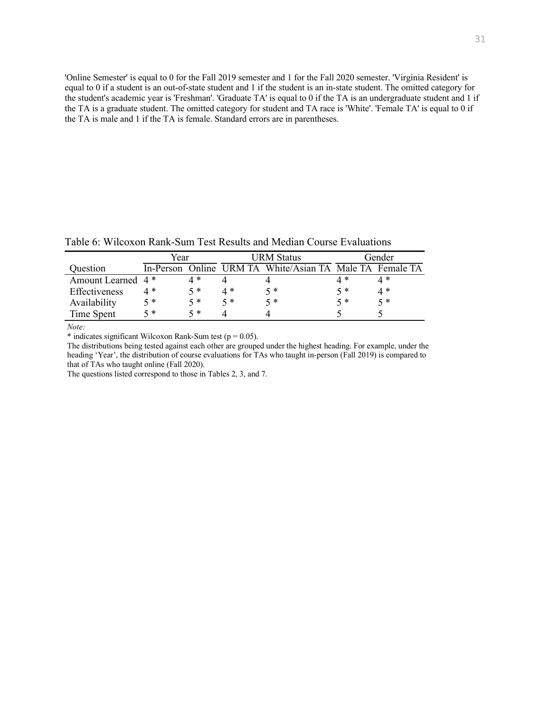'Online Semester' is equal to 0 for the Fall 2019 semester and 1 for the Fall 2020 semester. 'Virginia Resident' is equal to 0 if a student is an out-of-state student and 1 if the student is an in-state student. The omitted category for the student's academic year is 'Freshman'. 'Graduate TA' is equal to 0 if the TA is an undergraduate student and 1 if the TA is a graduate student. The omitted category for student and TA race is 'White'. 'Female TA' is equal to 0 if the TA is male and 1 if the TA is female. Standard errors are in parentheses.

table output 4/27/21, 3:32 PM

|                               | Year  |       |       | URM Status                                               |     | Gender |
|-------------------------------|-------|-------|-------|----------------------------------------------------------|-----|--------|
| Question                      |       |       |       | In-Person Online URM TA White/Asian TA Male TA Female TA |     |        |
| Amount Learned 4 <sup>*</sup> |       | 4 *   |       |                                                          | 4 * | 4 *    |
| Effectiveness                 | 4 *   | $5 *$ | $4 *$ | 5 *                                                      | 5 * | 4 *    |
| Availability                  | $5 *$ | $5 *$ | 5 *   | 5 *                                                      | 5 * | $5 *$  |
| Time Spent                    | 5 *   | 5*    |       |                                                          |     |        |

*Note: Note:*

 $*$  indicates significant Wilcoxon Rank-Sum test ( $p = 0.05$ ).

The distributions being tested against each other are grouped under the highest heading. For example, under the heading 'Year', the distribution of course evaluations for TAs who taught in-person (Fall 2019) is compared to that of TAs who taught online (Fall 2020).

The questions listed correspond to those in Tables 2, 3, and 7.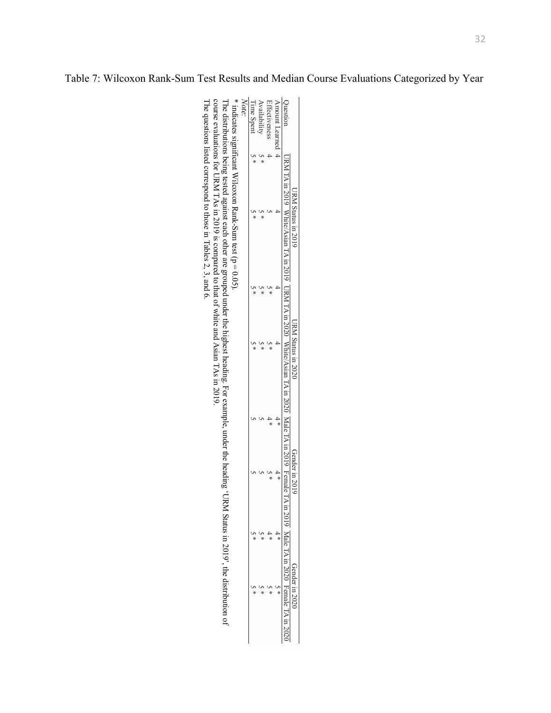|                |                  | RM Status in 2019        |   | 1 Status in 2020                                               |         | iender in 2019       | ī                  | ler in 2020<br>j              |
|----------------|------------------|--------------------------|---|----------------------------------------------------------------|---------|----------------------|--------------------|-------------------------------|
| Juestion       | /RM TA in 2019 W | /hite/Asian 1<br>in 2019 | ξ | RM 11A in 2020 White/Asian 11A in 2020 Male 11A in 2019 1<br>š | FA - AN | Female<br>$107$ m Al | Male<br>$0707$ III | Female 17<br>I<br>۱m ∠∪.<br>Ì |
| unount Learned |                  |                          |   | I                                                              | ×       | ¥                    | İ<br>¥             | ×                             |
| Effectiveness  |                  |                          | ÷ | ×                                                              | *       | ×                    | x                  | x                             |
| vailability    | $\frac{1}{1}$    | x                        |   |                                                                |         |                      | ¥                  | ¥                             |
| l'inne Spent   | $\frac{1}{x}$    | ×                        | ¥ | ×                                                              |         |                      | ¥                  | ×                             |
| Note:          |                  |                          |   |                                                                |         |                      |                    |                               |
|                |                  | ונ<br>.<br>.<br>.        |   |                                                                |         |                      |                    |                               |

\* indicates significant Wilcoxon Rank-\* indicates significant Wilcoxon Rank -Sum test  $(p = 0.05)$ .

The distributions being tested against each other are grouped under the highest heading. For example, under the heading 'URM Status in 2019', the distribution of \* indicates significant Wilcoxon Rank-Sum test (p = 0.05).<br>The distributions being tested against each other are grouped under the highest heading. For example, under the heading 'URM Status in 2019', the distribution of<br> course evaluations for URM TAs in 2019 is compared to that of white and Asian TAs in 2019.

e questions listed correspond to those in Tables 2, 3, and 6.

Table 7: Wilcoxon Rank-Sum Test Results and Median Course Evaluations Categorized by Year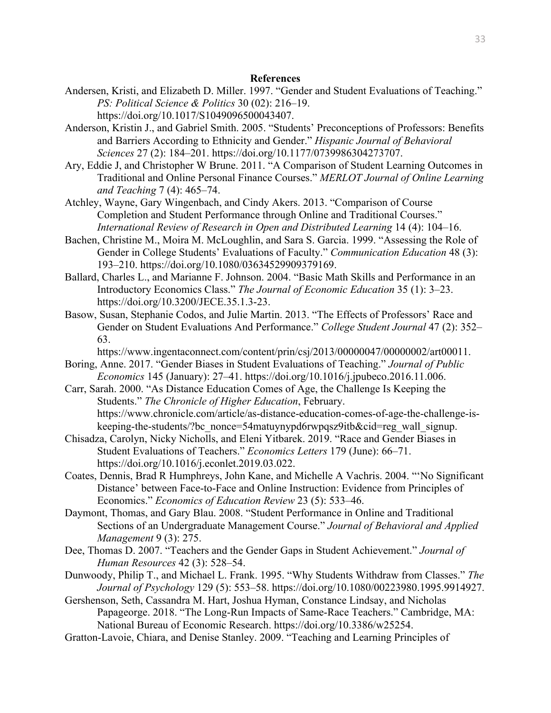#### **References**

Andersen, Kristi, and Elizabeth D. Miller. 1997. "Gender and Student Evaluations of Teaching." *PS: Political Science & Politics* 30 (02): 216–19.

https://doi.org/10.1017/S1049096500043407.

- Anderson, Kristin J., and Gabriel Smith. 2005. "Students' Preconceptions of Professors: Benefits and Barriers According to Ethnicity and Gender." *Hispanic Journal of Behavioral Sciences* 27 (2): 184–201. https://doi.org/10.1177/0739986304273707.
- Ary, Eddie J, and Christopher W Brune. 2011. "A Comparison of Student Learning Outcomes in Traditional and Online Personal Finance Courses." *MERLOT Journal of Online Learning and Teaching* 7 (4): 465–74.
- Atchley, Wayne, Gary Wingenbach, and Cindy Akers. 2013. "Comparison of Course Completion and Student Performance through Online and Traditional Courses." *International Review of Research in Open and Distributed Learning* 14 (4): 104–16.
- Bachen, Christine M., Moira M. McLoughlin, and Sara S. Garcia. 1999. "Assessing the Role of Gender in College Students' Evaluations of Faculty." *Communication Education* 48 (3): 193–210. https://doi.org/10.1080/03634529909379169.
- Ballard, Charles L., and Marianne F. Johnson. 2004. "Basic Math Skills and Performance in an Introductory Economics Class." *The Journal of Economic Education* 35 (1): 3–23. https://doi.org/10.3200/JECE.35.1.3-23.
- Basow, Susan, Stephanie Codos, and Julie Martin. 2013. "The Effects of Professors' Race and Gender on Student Evaluations And Performance." *College Student Journal* 47 (2): 352– 63.

https://www.ingentaconnect.com/content/prin/csj/2013/00000047/00000002/art00011.

- Boring, Anne. 2017. "Gender Biases in Student Evaluations of Teaching." *Journal of Public Economics* 145 (January): 27–41. https://doi.org/10.1016/j.jpubeco.2016.11.006.
- Carr, Sarah. 2000. "As Distance Education Comes of Age, the Challenge Is Keeping the Students." *The Chronicle of Higher Education*, February. https://www.chronicle.com/article/as-distance-education-comes-of-age-the-challenge-iskeeping-the-students/?bc\_nonce=54matuynypd6rwpqsz9itb&cid=reg\_wall\_signup.
- Chisadza, Carolyn, Nicky Nicholls, and Eleni Yitbarek. 2019. "Race and Gender Biases in Student Evaluations of Teachers." *Economics Letters* 179 (June): 66–71. https://doi.org/10.1016/j.econlet.2019.03.022.
- Coates, Dennis, Brad R Humphreys, John Kane, and Michelle A Vachris. 2004. "'No Significant Distance' between Face-to-Face and Online Instruction: Evidence from Principles of Economics." *Economics of Education Review* 23 (5): 533–46.
- Daymont, Thomas, and Gary Blau. 2008. "Student Performance in Online and Traditional Sections of an Undergraduate Management Course." *Journal of Behavioral and Applied Management* 9 (3): 275.
- Dee, Thomas D. 2007. "Teachers and the Gender Gaps in Student Achievement." *Journal of Human Resources* 42 (3): 528–54.
- Dunwoody, Philip T., and Michael L. Frank. 1995. "Why Students Withdraw from Classes." *The Journal of Psychology* 129 (5): 553–58. https://doi.org/10.1080/00223980.1995.9914927.
- Gershenson, Seth, Cassandra M. Hart, Joshua Hyman, Constance Lindsay, and Nicholas Papageorge. 2018. "The Long-Run Impacts of Same-Race Teachers." Cambridge, MA: National Bureau of Economic Research. https://doi.org/10.3386/w25254.
- Gratton-Lavoie, Chiara, and Denise Stanley. 2009. "Teaching and Learning Principles of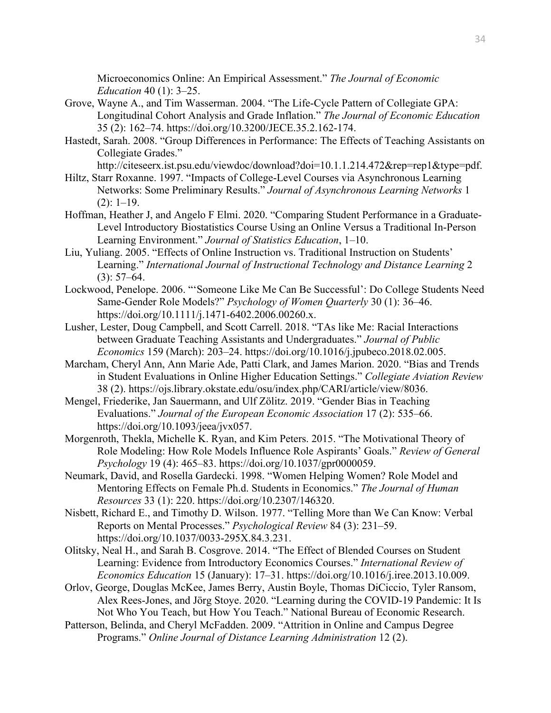Microeconomics Online: An Empirical Assessment." *The Journal of Economic Education* 40 (1): 3–25.

- Grove, Wayne A., and Tim Wasserman. 2004. "The Life-Cycle Pattern of Collegiate GPA: Longitudinal Cohort Analysis and Grade Inflation." *The Journal of Economic Education* 35 (2): 162–74. https://doi.org/10.3200/JECE.35.2.162-174.
- Hastedt, Sarah. 2008. "Group Differences in Performance: The Effects of Teaching Assistants on Collegiate Grades."

http://citeseerx.ist.psu.edu/viewdoc/download?doi=10.1.1.214.472&rep=rep1&type=pdf.

- Hiltz, Starr Roxanne. 1997. "Impacts of College-Level Courses via Asynchronous Learning Networks: Some Preliminary Results." *Journal of Asynchronous Learning Networks* 1  $(2): 1-19.$
- Hoffman, Heather J, and Angelo F Elmi. 2020. "Comparing Student Performance in a Graduate-Level Introductory Biostatistics Course Using an Online Versus a Traditional In-Person Learning Environment." *Journal of Statistics Education*, 1–10.
- Liu, Yuliang. 2005. "Effects of Online Instruction vs. Traditional Instruction on Students' Learning." *International Journal of Instructional Technology and Distance Learning* 2  $(3): 57-64.$
- Lockwood, Penelope. 2006. "'Someone Like Me Can Be Successful': Do College Students Need Same-Gender Role Models?" *Psychology of Women Quarterly* 30 (1): 36–46. https://doi.org/10.1111/j.1471-6402.2006.00260.x.
- Lusher, Lester, Doug Campbell, and Scott Carrell. 2018. "TAs like Me: Racial Interactions between Graduate Teaching Assistants and Undergraduates." *Journal of Public Economics* 159 (March): 203–24. https://doi.org/10.1016/j.jpubeco.2018.02.005.
- Marcham, Cheryl Ann, Ann Marie Ade, Patti Clark, and James Marion. 2020. "Bias and Trends in Student Evaluations in Online Higher Education Settings." *Collegiate Aviation Review* 38 (2). https://ojs.library.okstate.edu/osu/index.php/CARI/article/view/8036.
- Mengel, Friederike, Jan Sauermann, and Ulf Zölitz. 2019. "Gender Bias in Teaching Evaluations." *Journal of the European Economic Association* 17 (2): 535–66. https://doi.org/10.1093/jeea/jvx057.
- Morgenroth, Thekla, Michelle K. Ryan, and Kim Peters. 2015. "The Motivational Theory of Role Modeling: How Role Models Influence Role Aspirants' Goals." *Review of General Psychology* 19 (4): 465–83. https://doi.org/10.1037/gpr0000059.
- Neumark, David, and Rosella Gardecki. 1998. "Women Helping Women? Role Model and Mentoring Effects on Female Ph.d. Students in Economics." *The Journal of Human Resources* 33 (1): 220. https://doi.org/10.2307/146320.
- Nisbett, Richard E., and Timothy D. Wilson. 1977. "Telling More than We Can Know: Verbal Reports on Mental Processes." *Psychological Review* 84 (3): 231–59. https://doi.org/10.1037/0033-295X.84.3.231.
- Olitsky, Neal H., and Sarah B. Cosgrove. 2014. "The Effect of Blended Courses on Student Learning: Evidence from Introductory Economics Courses." *International Review of Economics Education* 15 (January): 17–31. https://doi.org/10.1016/j.iree.2013.10.009.
- Orlov, George, Douglas McKee, James Berry, Austin Boyle, Thomas DiCiccio, Tyler Ransom, Alex Rees-Jones, and Jörg Stoye. 2020. "Learning during the COVID-19 Pandemic: It Is Not Who You Teach, but How You Teach." National Bureau of Economic Research.
- Patterson, Belinda, and Cheryl McFadden. 2009. "Attrition in Online and Campus Degree Programs." *Online Journal of Distance Learning Administration* 12 (2).